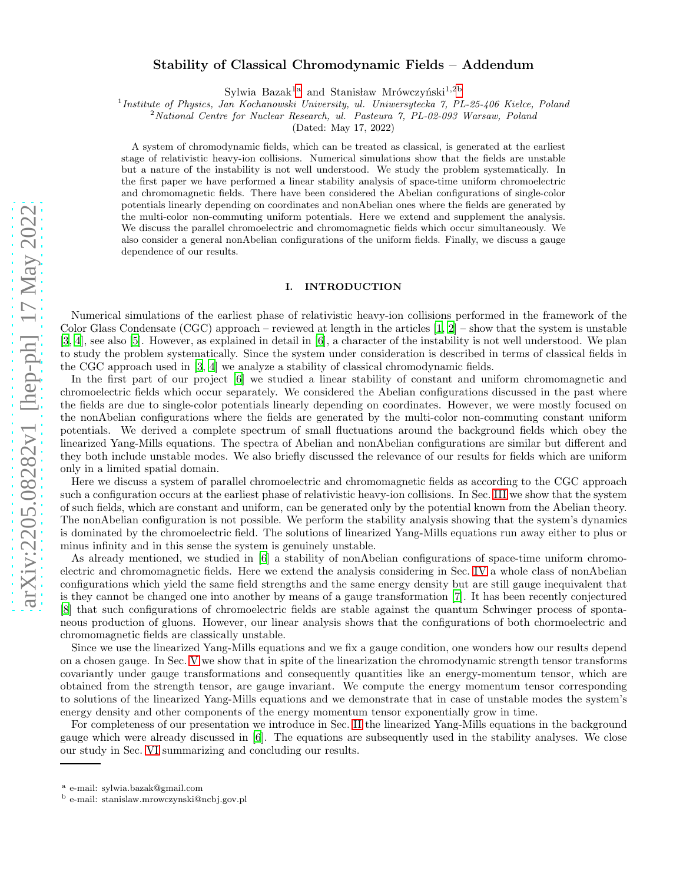# Stability of Classical Chromodynamic Fields – Addendum

Sylwia Bazak<sup>[1a](#page-0-0)</sup> and Stanisław Mrówczyński<sup>1,[2b](#page-0-1)</sup>

<sup>1</sup> Institute of Physics, Jan Kochanowski University, ul. Uniwersytecka 7, PL-25-406 Kielce, Poland

<sup>2</sup>National Centre for Nuclear Research, ul. Pasteura 7, PL-02-093 Warsaw, Poland

(Dated: May 17, 2022)

A system of chromodynamic fields, which can be treated as classical, is generated at the earliest stage of relativistic heavy-ion collisions. Numerical simulations show that the fields are unstable but a nature of the instability is not well understood. We study the problem systematically. In the first paper we have performed a linear stability analysis of space-time uniform chromoelectric and chromomagnetic fields. There have been considered the Abelian configurations of single-color potentials linearly depending on coordinates and nonAbelian ones where the fields are generated by the multi-color non-commuting uniform potentials. Here we extend and supplement the analysis. We discuss the parallel chromoelectric and chromomagnetic fields which occur simultaneously. We also consider a general nonAbelian configurations of the uniform fields. Finally, we discuss a gauge dependence of our results.

### I. INTRODUCTION

Numerical simulations of the earliest phase of relativistic heavy-ion collisions performed in the framework of the Color Glass Condensate (CGC) approach – reviewed at length in the articles  $[1, 2]$  $[1, 2]$  $[1, 2]$  – show that the system is unstable [\[3,](#page-9-2) [4](#page-9-3)], see also [\[5\]](#page-9-4). However, as explained in detail in [\[6\]](#page-9-5), a character of the instability is not well understood. We plan to study the problem systematically. Since the system under consideration is described in terms of classical fields in the CGC approach used in [\[3,](#page-9-2) [4\]](#page-9-3) we analyze a stability of classical chromodynamic fields.

In the first part of our project [\[6\]](#page-9-5) we studied a linear stability of constant and uniform chromomagnetic and chromoelectric fields which occur separately. We considered the Abelian configurations discussed in the past where the fields are due to single-color potentials linearly depending on coordinates. However, we were mostly focused on the nonAbelian configurations where the fields are generated by the multi-color non-commuting constant uniform potentials. We derived a complete spectrum of small fluctuations around the background fields which obey the linearized Yang-Mills equations. The spectra of Abelian and nonAbelian configurations are similar but different and they both include unstable modes. We also briefly discussed the relevance of our results for fields which are uniform only in a limited spatial domain.

Here we discuss a system of parallel chromoelectric and chromomagnetic fields as according to the CGC approach such a configuration occurs at the earliest phase of relativistic heavy-ion collisions. In Sec. [III](#page-1-0) we show that the system of such fields, which are constant and uniform, can be generated only by the potential known from the Abelian theory. The nonAbelian configuration is not possible. We perform the stability analysis showing that the system's dynamics is dominated by the chromoelectric field. The solutions of linearized Yang-Mills equations run away either to plus or minus infinity and in this sense the system is genuinely unstable.

As already mentioned, we studied in [\[6](#page-9-5)] a stability of nonAbelian configurations of space-time uniform chromoelectric and chromomagnetic fields. Here we extend the analysis considering in Sec. [IV](#page-3-0) a whole class of nonAbelian configurations which yield the same field strengths and the same energy density but are still gauge inequivalent that is they cannot be changed one into another by means of a gauge transformation [\[7\]](#page-9-6). It has been recently conjectured [\[8\]](#page-9-7) that such configurations of chromoelectric fields are stable against the quantum Schwinger process of spontaneous production of gluons. However, our linear analysis shows that the configurations of both chormoelectric and chromomagnetic fields are classically unstable.

Since we use the linearized Yang-Mills equations and we fix a gauge condition, one wonders how our results depend on a chosen gauge. In Sec. [V](#page-6-0) we show that in spite of the linearization the chromodynamic strength tensor transforms covariantly under gauge transformations and consequently quantities like an energy-momentum tensor, which are obtained from the strength tensor, are gauge invariant. We compute the energy momentum tensor corresponding to solutions of the linearized Yang-Mills equations and we demonstrate that in case of unstable modes the system's energy density and other components of the energy momentum tensor exponentially grow in time.

For completeness of our presentation we introduce in Sec. [II](#page-1-1) the linearized Yang-Mills equations in the background gauge which were already discussed in [\[6](#page-9-5)]. The equations are subsequently used in the stability analyses. We close our study in Sec. [VI](#page-8-0) summarizing and concluding our results.

a e-mail: sylwia.bazak@gmail.com

<span id="page-0-1"></span><span id="page-0-0"></span><sup>b</sup> e-mail: stanislaw.mrowczynski@ncbj.gov.pl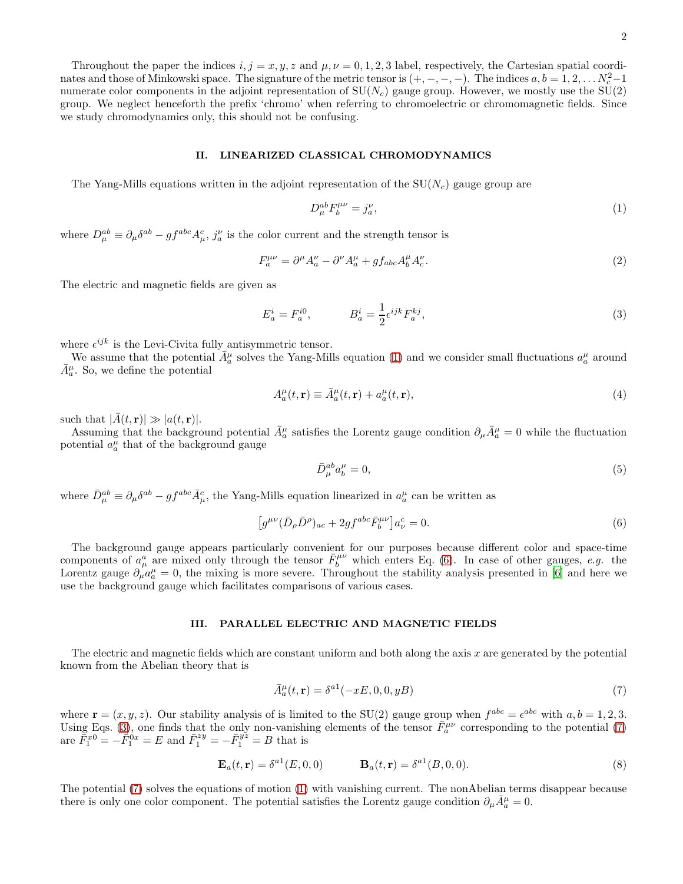Throughout the paper the indices  $i, j = x, y, z$  and  $\mu, \nu = 0, 1, 2, 3$  label, respectively, the Cartesian spatial coordinates and those of Minkowski space. The signature of the metric tensor is  $(+, -, -, -)$ . The indices  $a, b = 1, 2, \ldots N_c^2 - 1$ . numerate color components in the adjoint representation of  $SU(N_c)$  gauge group. However, we mostly use the  $SU(2)$ group. We neglect henceforth the prefix 'chromo' when referring to chromoelectric or chromomagnetic fields. Since we study chromodynamics only, this should not be confusing.

#### <span id="page-1-1"></span>II. LINEARIZED CLASSICAL CHROMODYNAMICS

The Yang-Mills equations written in the adjoint representation of the  $SU(N_c)$  gauge group are

<span id="page-1-2"></span>
$$
D_{\mu}^{ab}F_{b}^{\mu\nu} = j_{a}^{\nu},\tag{1}
$$

where  $D_{\mu}^{ab} \equiv \partial_{\mu} \delta^{ab} - gf^{abc} A_{\mu}^c$ ,  $j_a^{\nu}$  is the color current and the strength tensor is

<span id="page-1-7"></span>
$$
F_a^{\mu\nu} = \partial^{\mu} A_a^{\nu} - \partial^{\nu} A_a^{\mu} + gf_{abc} A_b^{\mu} A_c^{\nu}.
$$
\n<sup>(2)</sup>

The electric and magnetic fields are given as

<span id="page-1-4"></span>
$$
E_a^i = F_a^{i0}, \qquad \qquad B_a^i = \frac{1}{2} \epsilon^{ijk} F_a^{kj}, \tag{3}
$$

where  $\epsilon^{ijk}$  is the Levi-Civita fully antisymmetric tensor.

We assume that the potential  $\bar{A}_a^{\mu}$  solves the Yang-Mills equation [\(1\)](#page-1-2) and we consider small fluctuations  $a_a^{\mu}$  around  $\bar{A}_{a}^{\mu}$ . So, we define the potential

$$
A_a^{\mu}(t, \mathbf{r}) \equiv \bar{A}_a^{\mu}(t, \mathbf{r}) + a_a^{\mu}(t, \mathbf{r}), \qquad (4)
$$

such that  $|\bar{A}(t,\mathbf{r})| \gg |a(t,\mathbf{r})|$ .

Assuming that the background potential  $\bar{A}_a^{\mu}$  satisfies the Lorentz gauge condition  $\partial_{\mu}\bar{A}_a^{\mu}=0$  while the fluctuation potential  $a_a^{\mu}$  that of the background gauge

$$
\bar{D}_{\mu}^{ab}a_{b}^{\mu}=0,\tag{5}
$$

where  $\bar{D}_{\mu}^{ab} \equiv \partial_{\mu} \delta^{ab} - gf^{abc} \bar{A}_{\mu}^{c}$ , the Yang-Mills equation linearized in  $a_{a}^{\mu}$  can be written as

<span id="page-1-3"></span>
$$
[g^{\mu\nu}(\bar{D}_{\rho}\bar{D}^{\rho})_{ac} + 2gf^{abc}\bar{F}_{b}^{\mu\nu}]a_{\nu}^{c} = 0.
$$
\n(6)

The background gauge appears particularly convenient for our purposes because different color and space-time components of  $a_\mu^a$  are mixed only through the tensor  $\bar{F}_b^{\mu\nu}$  which enters Eq. [\(6\)](#page-1-3). In case of other gauges, e.g. the Lorentz gauge  $\partial_{\mu}a_{a}^{\mu}=0$ , the mixing is more severe. Throughout the stability analysis presented in [\[6\]](#page-9-5) and here we use the background gauge which facilitates comparisons of various cases.

# <span id="page-1-0"></span>III. PARALLEL ELECTRIC AND MAGNETIC FIELDS

The electric and magnetic fields which are constant uniform and both along the axis  $x$  are generated by the potential known from the Abelian theory that is

<span id="page-1-5"></span>
$$
\bar{A}_a^{\mu}(t, \mathbf{r}) = \delta^{a1}(-xE, 0, 0, yB) \tag{7}
$$

where  $\mathbf{r} = (x, y, z)$ . Our stability analysis of is limited to the SU(2) gauge group when  $f^{abc} = \epsilon^{abc}$  with  $a, b = 1, 2, 3$ . Using Eqs. [\(3\)](#page-1-4), one finds that the only non-vanishing elements of the tensor  $\bar{F}_{a}^{\mu\nu}$  corresponding to the potential [\(7\)](#page-1-5) are  $\bar{F}_1^{x0} = -\bar{F}_1^{0x} = E$  and  $\bar{F}_1^{zy} = -\bar{F}_1^{yz} = B$  that is

<span id="page-1-6"></span>
$$
\mathbf{E}_a(t,\mathbf{r}) = \delta^{a1}(E,0,0) \qquad \mathbf{B}_a(t,\mathbf{r}) = \delta^{a1}(B,0,0). \tag{8}
$$

The potential [\(7\)](#page-1-5) solves the equations of motion [\(1\)](#page-1-2) with vanishing current. The nonAbelian terms disappear because there is only one color component. The potential satisfies the Lorentz gauge condition  $\partial_{\mu} \bar{A}_{a}^{\mu} = 0$ .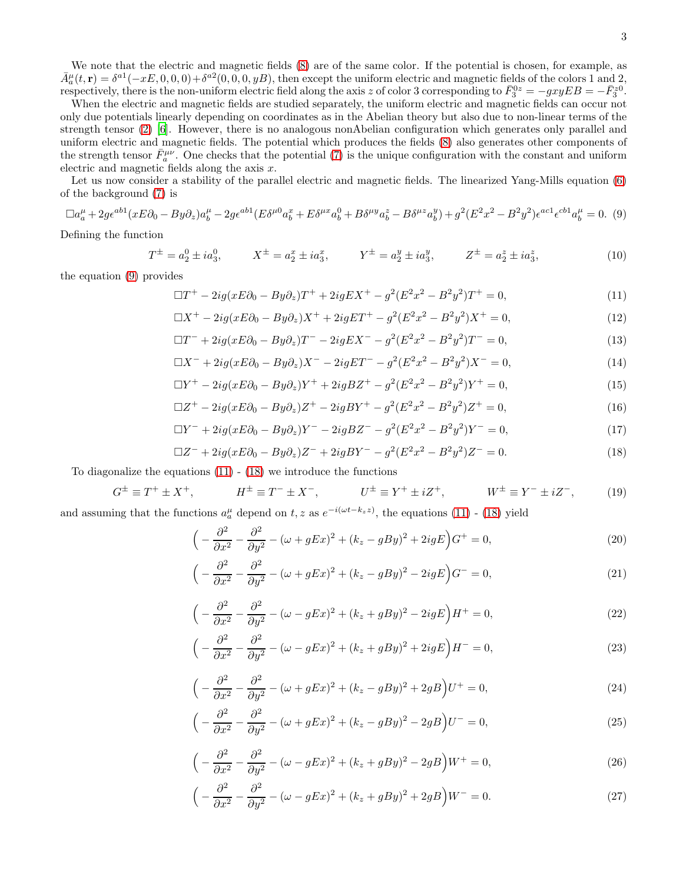We note that the electric and magnetic fields [\(8\)](#page-1-6) are of the same color. If the potential is chosen, for example, as  $\bar{A}^{\mu}_{a}(t,\mathbf{r}) = \delta^{a}(-xE,0,0,0) + \delta^{a}2(0,0,0,yB)$ , then except the uniform electric and magnetic fields of the colors 1 and 2,  $A_a(t,1) = 0$   $(-2L, 0, 0, 0) + 0$   $(0, 0, 0, y, B)$ , then except the uniform electric and magnetic fields of the colors 1 and 2, respectively, there is the non-uniform electric field along the axis z of color 3 corresponding t

When the electric and magnetic fields are studied separately, the uniform electric and magnetic fields can occur not only due potentials linearly depending on coordinates as in the Abelian theory but also due to non-linear terms of the strength tensor [\(2\)](#page-1-7) [\[6\]](#page-9-5). However, there is no analogous nonAbelian configuration which generates only parallel and uniform electric and magnetic fields. The potential which produces the fields [\(8\)](#page-1-6) also generates other components of the strength tensor  $\bar{F}_a^{\mu\nu}$ . One checks that the potential [\(7\)](#page-1-5) is the unique configuration with the constant and uniform electric and magnetic fields along the axis  $x$ .

Let us now consider a stability of the parallel electric and magnetic fields. The linearized Yang-Mills equation [\(6\)](#page-1-3) of the background [\(7\)](#page-1-5) is

<span id="page-2-0"></span>
$$
\Box a_{a}^{\mu} + 2g\epsilon^{ab1}(xE\partial_{0} - By\partial_{z})a_{b}^{\mu} - 2g\epsilon^{ab1}(E\delta^{\mu 0}a_{b}^{x} + E\delta^{\mu x}a_{b}^{0} + B\delta^{\mu y}a_{b}^{z} - B\delta^{\mu z}a_{b}^{y}) + g^{2}(E^{2}x^{2} - B^{2}y^{2})\epsilon^{ac1}\epsilon^{cb1}a_{b}^{\mu} = 0.
$$
 (9)

Defining the function

<span id="page-2-3"></span>
$$
T^{\pm} = a_2^0 \pm i a_3^0, \qquad X^{\pm} = a_2^x \pm i a_3^x, \qquad Y^{\pm} = a_2^y \pm i a_3^y, \qquad Z^{\pm} = a_2^z \pm i a_3^z,
$$
 (10)

the equation [\(9\)](#page-2-0) provides

<span id="page-2-1"></span>
$$
\Box T^{+} - 2ig(xE\partial_{0} - By\partial_{z})T^{+} + 2igEX^{+} - g^{2}(E^{2}x^{2} - B^{2}y^{2})T^{+} = 0,
$$
\n(11)

$$
\Box X^{+} - 2ig(xE\partial_{0} - By\partial_{z})X^{+} + 2igET^{+} - g^{2}(E^{2}x^{2} - B^{2}y^{2})X^{+} = 0,
$$
\n(12)

$$
\Box T^{-} + 2ig(xE\partial_0 - By\partial_z)T^{-} - 2igEX^{-} - g^2(E^2x^2 - B^2y^2)T^{-} = 0,
$$
\n(13)

$$
\Box X^{-} + 2ig(xE\partial_0 - By\partial_z)X^{-} - 2igET^{-} - g^2(E^2x^2 - B^2y^2)X^{-} = 0,
$$
\n(14)

$$
\Box Y^{+} - 2ig(xE\partial_{0} - By\partial_{z})Y^{+} + 2igBZ^{+} - g^{2}(E^{2}x^{2} - B^{2}y^{2})Y^{+} = 0,
$$
\n(15)

$$
\Box Z^{+} - 2ig(xE\partial_{0} - By\partial_{z})Z^{+} - 2igBY^{+} - g^{2}(E^{2}x^{2} - B^{2}y^{2})Z^{+} = 0,
$$
\n(16)

$$
\Box Y^{-} + 2ig(xE\partial_0 - By\partial_z)Y^{-} - 2igBZ^{-} - g^2(E^2x^2 - B^2y^2)Y^{-} = 0,
$$
\n(17)

$$
\Box Z^{-} + 2ig(xE\partial_0 - By\partial_z)Z^{-} + 2igBY^{-} - g^2(E^2x^2 - B^2y^2)Z^{-} = 0.
$$
\n(18)

To diagonalize the equations  $(11)$  -  $(18)$  we introduce the functions

<span id="page-2-4"></span>
$$
G^{\pm} \equiv T^{+} \pm X^{+}, \qquad H^{\pm} \equiv T^{-} \pm X^{-}, \qquad U^{\pm} \equiv Y^{+} \pm iZ^{+}, \qquad W^{\pm} \equiv Y^{-} \pm iZ^{-}, \qquad (19)
$$

and assuming that the functions  $a_n^{\mu}$  depend on t, z as  $e^{-i(\omega t - k_z z)}$ , the equations [\(11\)](#page-2-1) - [\(18\)](#page-2-1) yield

<span id="page-2-2"></span>
$$
\left(-\frac{\partial^2}{\partial x^2} - \frac{\partial^2}{\partial y^2} - (\omega + gEx)^2 + (k_z - gBy)^2 + 2igE\right)G^+ = 0,\tag{20}
$$

$$
\left(-\frac{\partial^2}{\partial x^2} - \frac{\partial^2}{\partial y^2} - (\omega + gEx)^2 + (k_z - gBy)^2 - 2igE\right)G^- = 0,\tag{21}
$$

$$
\left(-\frac{\partial^2}{\partial x^2} - \frac{\partial^2}{\partial y^2} - (\omega - gEx)^2 + (k_z + gBy)^2 - 2igE\right)H^+ = 0,\tag{22}
$$

$$
\left(-\frac{\partial^2}{\partial x^2} - \frac{\partial^2}{\partial y^2} - (\omega - gEx)^2 + (k_z + gBy)^2 + 2igE\right)H^- = 0,\tag{23}
$$

$$
\left(-\frac{\partial^2}{\partial x^2} - \frac{\partial^2}{\partial y^2} - (\omega + gEx)^2 + (k_z - gBy)^2 + 2gB\right)U^+ = 0,\tag{24}
$$

$$
\left(-\frac{\partial^2}{\partial x^2} - \frac{\partial^2}{\partial y^2} - (\omega + gEx)^2 + (k_z - gBy)^2 - 2gB\right)U^- = 0,\tag{25}
$$

$$
\left(-\frac{\partial^2}{\partial x^2} - \frac{\partial^2}{\partial y^2} - (\omega - gEx)^2 + (k_z + gBy)^2 - 2gB\right)W^+ = 0,\tag{26}
$$

$$
\left(-\frac{\partial^2}{\partial x^2} - \frac{\partial^2}{\partial y^2} - (\omega - gEx)^2 + (k_z + gBy)^2 + 2gB\right)W^- = 0.
$$
\n(27)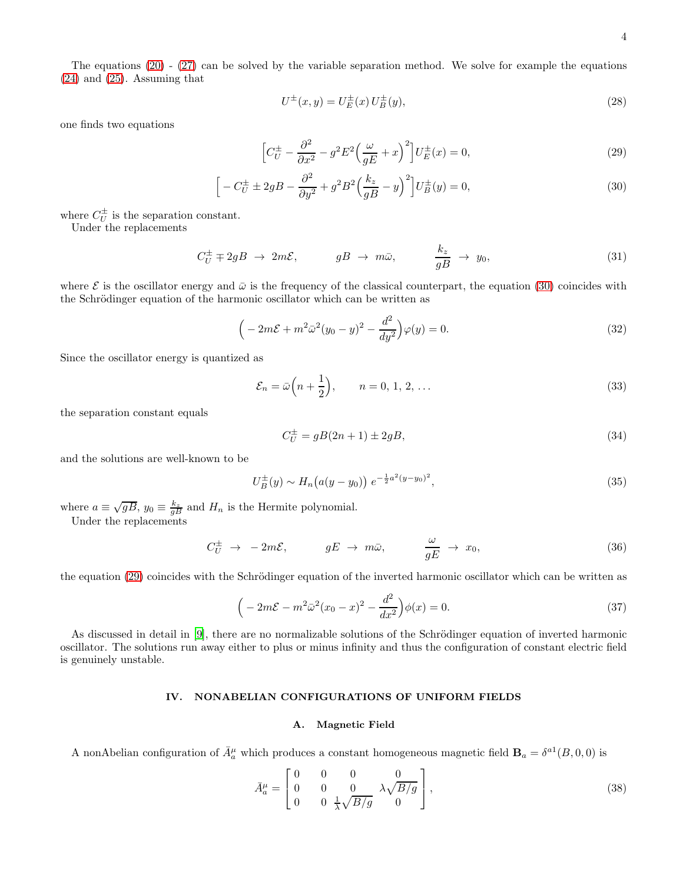The equations [\(20\)](#page-2-2) - [\(27\)](#page-2-2) can be solved by the variable separation method. We solve for example the equations [\(24\)](#page-2-2) and [\(25\)](#page-2-2). Assuming that

$$
U^{\pm}(x,y) = U_{E}^{\pm}(x) U_{B}^{\pm}(y),
$$
\n(28)

one finds two equations

<span id="page-3-1"></span>
$$
\left[C_U^{\pm} - \frac{\partial^2}{\partial x^2} - g^2 E^2 \left(\frac{\omega}{gE} + x\right)^2\right] U_E^{\pm}(x) = 0,
$$
\n(29)

$$
\[ -C_U^{\pm} \pm 2gB - \frac{\partial^2}{\partial y^2} + g^2 B^2 \left( \frac{k_z}{gB} - y \right)^2 \] U_B^{\pm}(y) = 0, \tag{30}
$$

where  $C_U^{\pm}$  is the separation constant.

Under the replacements

$$
C_U^{\pm} \mp 2gB \rightarrow 2m\mathcal{E}, \qquad gB \rightarrow m\bar{\omega}, \qquad \frac{k_z}{gB} \rightarrow y_0, \qquad (31)
$$

where  $\mathcal E$  is the oscillator energy and  $\bar{\omega}$  is the frequency of the classical counterpart, the equation [\(30\)](#page-3-1) coincides with the Schrödinger equation of the harmonic oscillator which can be written as

$$
\left(-2m\mathcal{E} + m^2\bar{\omega}^2(y_0 - y)^2 - \frac{d^2}{dy^2}\right)\varphi(y) = 0.
$$
\n(32)

Since the oscillator energy is quantized as

$$
\mathcal{E}_n = \bar{\omega}\left(n + \frac{1}{2}\right), \qquad n = 0, 1, 2, \dots \tag{33}
$$

the separation constant equals

$$
C_U^{\pm} = gB(2n+1) \pm 2gB,
$$
\n(34)

and the solutions are well-known to be

$$
U_B^{\pm}(y) \sim H_n(a(y - y_0)) e^{-\frac{1}{2}a^2(y - y_0)^2}, \tag{35}
$$

where  $a \equiv \sqrt{gB}$ ,  $y_0 \equiv \frac{k_z}{gB}$  and  $H_n$  is the Hermite polynomial.

Under the replacements

$$
C_U^{\pm} \to -2m\mathcal{E}, \qquad gE \to m\bar{\omega}, \qquad \frac{\omega}{gE} \to x_0, \qquad (36)
$$

the equation [\(29\)](#page-3-1) coincides with the Schrödinger equation of the inverted harmonic oscillator which can be written as

$$
\left(-2m\mathcal{E} - m^2\bar{\omega}^2(x_0 - x)^2 - \frac{d^2}{dx^2}\right)\phi(x) = 0.
$$
\n(37)

As discussed in detail in [\[9](#page-9-8)], there are no normalizable solutions of the Schrödinger equation of inverted harmonic oscillator. The solutions run away either to plus or minus infinity and thus the configuration of constant electric field is genuinely unstable.

# <span id="page-3-0"></span>IV. NONABELIAN CONFIGURATIONS OF UNIFORM FIELDS

# A. Magnetic Field

A nonAbelian configuration of  $\bar{A}_a^{\mu}$  which produces a constant homogeneous magnetic field  $\mathbf{B}_a = \delta^{a1}(B,0,0)$  is

<span id="page-3-2"></span>
$$
\bar{A}_a^{\mu} = \begin{bmatrix} 0 & 0 & 0 & 0 \\ 0 & 0 & 0 & \lambda \sqrt{B/g} \\ 0 & 0 & \frac{1}{\lambda} \sqrt{B/g} & 0 \end{bmatrix},
$$
\n(38)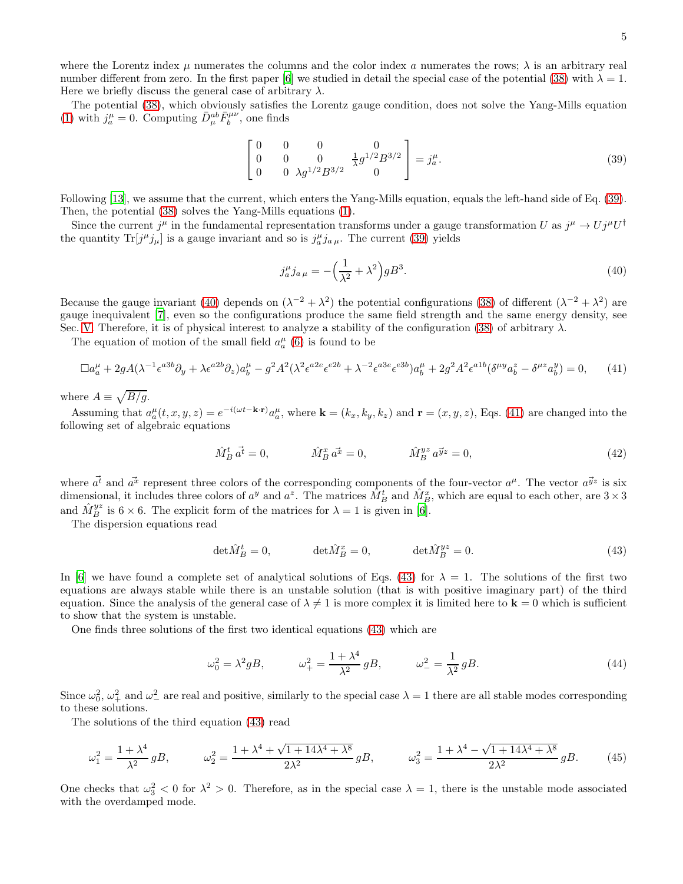where the Lorentz index  $\mu$  numerates the columns and the color index a numerates the rows;  $\lambda$  is an arbitrary real number different from zero. In the first paper [\[6\]](#page-9-5) we studied in detail the special case of the potential [\(38\)](#page-3-2) with  $\lambda = 1$ . Here we briefly discuss the general case of arbitrary  $\lambda$ .

The potential [\(38\)](#page-3-2), which obviously satisfies the Lorentz gauge condition, does not solve the Yang-Mills equation [\(1\)](#page-1-2) with  $j_a^{\mu} = 0$ . Computing  $\bar{D}_{\mu}^{ab} \bar{F}_b^{\mu\nu}$ , one finds

<span id="page-4-0"></span>
$$
\begin{bmatrix} 0 & 0 & 0 & 0 \ 0 & 0 & 0 & \frac{1}{\lambda} g^{1/2} B^{3/2} \\ 0 & 0 & \lambda g^{1/2} B^{3/2} & 0 \end{bmatrix} = j_a^{\mu}.
$$
 (39)

Following [\[13\]](#page-9-9), we assume that the current, which enters the Yang-Mills equation, equals the left-hand side of Eq. [\(39\)](#page-4-0). Then, the potential [\(38\)](#page-3-2) solves the Yang-Mills equations [\(1\)](#page-1-2).

Since the current  $j^{\mu}$  in the fundamental representation transforms under a gauge transformation U as  $j^{\mu} \to U j^{\mu} U^{\dagger}$ the quantity  $\text{Tr}[j^{\mu}j_{\mu}]$  is a gauge invariant and so is  $j^{\mu}_{a}j_{a\mu}$ . The current [\(39\)](#page-4-0) yields

<span id="page-4-1"></span>
$$
j_a^{\mu} j_{a\mu} = -\left(\frac{1}{\lambda^2} + \lambda^2\right) g B^3. \tag{40}
$$

Because the gauge invariant [\(40\)](#page-4-1) depends on  $(\lambda^{-2} + \lambda^2)$  the potential configurations [\(38\)](#page-3-2) of different  $(\lambda^{-2} + \lambda^2)$  are gauge inequivalent [\[7\]](#page-9-6), even so the configurations produce the same field strength and the same energy density, see Sec. [V.](#page-6-0) Therefore, it is of physical interest to analyze a stability of the configuration [\(38\)](#page-3-2) of arbitrary  $\lambda$ .

The equation of motion of the small field  $a_a^{\mu}$  [\(6\)](#page-1-3) is found to be

<span id="page-4-2"></span>
$$
\Box a_{a}^{\mu} + 2gA(\lambda^{-1}\epsilon^{a3b}\partial_{y} + \lambda\epsilon^{a2b}\partial_{z})a_{b}^{\mu} - g^{2}A^{2}(\lambda^{2}\epsilon^{a2e}\epsilon^{e2b} + \lambda^{-2}\epsilon^{a3e}\epsilon^{e3b})a_{b}^{\mu} + 2g^{2}A^{2}\epsilon^{a1b}(\delta^{\mu y}a_{b}^{z} - \delta^{\mu z}a_{b}^{y}) = 0, \qquad (41)
$$

where  $A \equiv \sqrt{B/g}$ .

Assuming that  $a_a^{\mu}(t, x, y, z) = e^{-i(\omega t - \mathbf{k} \cdot \mathbf{r})} a_a^{\mu}$ , where  $\mathbf{k} = (k_x, k_y, k_z)$  and  $\mathbf{r} = (x, y, z)$ , Eqs. [\(41\)](#page-4-2) are changed into the following set of algebraic equations

$$
\hat{M}_B^t \, \vec{a^t} = 0, \qquad \qquad \hat{M}_B^x \, \vec{a^x} = 0, \qquad \qquad \hat{M}_B^{yz} \, \vec{a^y}^z = 0, \tag{42}
$$

where  $\vec{a}^t$  and  $\vec{a}^x$  represent three colors of the corresponding components of the four-vector  $a^\mu$ . The vector  $a^{\vec{y}z}$  is six dimensional, it includes three colors of  $a^y$  and  $a^z$ . The matrices  $\hat{M}_B^t$  and  $\hat{M}_B^x$ , which are equal to each other, are  $3 \times 3$ and  $\hat{M}_{B}^{yz}$  is  $6 \times 6$ . The explicit form of the matrices for  $\lambda = 1$  is given in [\[6](#page-9-5)].

The dispersion equations read

<span id="page-4-3"></span>
$$
\det \hat{M}_B^t = 0, \qquad \det \hat{M}_B^x = 0, \qquad \det \hat{M}_B^{yz} = 0.
$$
\n(43)

In [\[6](#page-9-5)] we have found a complete set of analytical solutions of Eqs. [\(43\)](#page-4-3) for  $\lambda = 1$ . The solutions of the first two equations are always stable while there is an unstable solution (that is with positive imaginary part) of the third equation. Since the analysis of the general case of  $\lambda \neq 1$  is more complex it is limited here to  $\mathbf{k} = 0$  which is sufficient to show that the system is unstable.

One finds three solutions of the first two identical equations [\(43\)](#page-4-3) which are

$$
\omega_0^2 = \lambda^2 g B, \qquad \omega_+^2 = \frac{1 + \lambda^4}{\lambda^2} g B, \qquad \omega_-^2 = \frac{1}{\lambda^2} g B. \tag{44}
$$

Since  $\omega_0^2$ ,  $\omega_+^2$  and  $\omega_-^2$  are real and positive, similarly to the special case  $\lambda = 1$  there are all stable modes corresponding to these solutions.

The solutions of the third equation [\(43\)](#page-4-3) read

$$
\omega_1^2 = \frac{1 + \lambda^4}{\lambda^2} gB, \qquad \omega_2^2 = \frac{1 + \lambda^4 + \sqrt{1 + 14\lambda^4 + \lambda^8}}{2\lambda^2} gB, \qquad \omega_3^2 = \frac{1 + \lambda^4 - \sqrt{1 + 14\lambda^4 + \lambda^8}}{2\lambda^2} gB. \tag{45}
$$

One checks that  $\omega_3^2 < 0$  for  $\lambda^2 > 0$ . Therefore, as in the special case  $\lambda = 1$ , there is the unstable mode associated with the overdamped mode.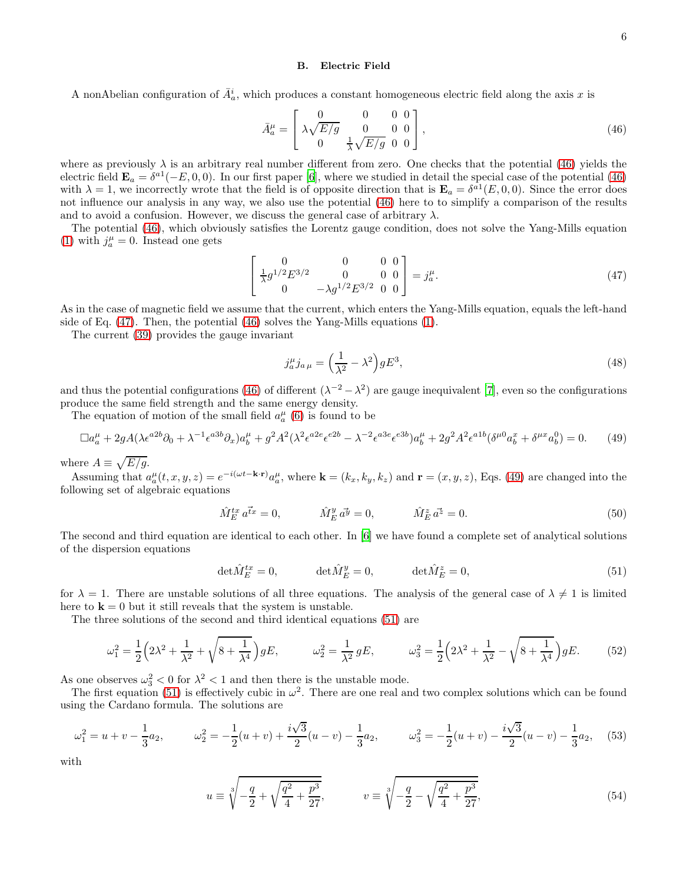#### B. Electric Field

A nonAbelian configuration of  $\bar{A}_a^i$ , which produces a constant homogeneous electric field along the axis x is

<span id="page-5-0"></span>
$$
\bar{A}_a^{\mu} = \begin{bmatrix} 0 & 0 & 0 & 0 \\ \lambda \sqrt{E/g} & 0 & 0 & 0 \\ 0 & \frac{1}{\lambda} \sqrt{E/g} & 0 & 0 \end{bmatrix},
$$
\n(46)

where as previously  $\lambda$  is an arbitrary real number different from zero. One checks that the potential [\(46\)](#page-5-0) yields the electric field  $\mathbf{E}_a = \delta^{a1}(-E, 0, 0)$ . In our first paper [\[6](#page-9-5)], where we studied in detail the special case of the potential [\(46\)](#page-5-0) with  $\lambda = 1$ , we incorrectly wrote that the field is of opposite direction that is  $\mathbf{E}_a = \delta^{a_1}(E, 0, 0)$ . Since the error does not influence our analysis in any way, we also use the potential [\(46\)](#page-5-0) here to to simplify a comparison of the results and to avoid a confusion. However, we discuss the general case of arbitrary  $\lambda$ .

The potential [\(46\)](#page-5-0), which obviously satisfies the Lorentz gauge condition, does not solve the Yang-Mills equation [\(1\)](#page-1-2) with  $j_a^{\mu} = 0$ . Instead one gets

<span id="page-5-1"></span>
$$
\begin{bmatrix} 0 & 0 & 0 & 0 \ \frac{1}{\lambda} g^{1/2} E^{3/2} & 0 & 0 & 0 \ 0 & -\lambda g^{1/2} E^{3/2} & 0 & 0 \end{bmatrix} = j_a^{\mu}.
$$
 (47)

As in the case of magnetic field we assume that the current, which enters the Yang-Mills equation, equals the left-hand side of Eq. [\(47\)](#page-5-1). Then, the potential [\(46\)](#page-5-0) solves the Yang-Mills equations [\(1\)](#page-1-2).

The current [\(39\)](#page-4-0) provides the gauge invariant

$$
j_a^{\mu} j_{a\mu} = \left(\frac{1}{\lambda^2} - \lambda^2\right) g E^3,\tag{48}
$$

and thus the potential configurations [\(46\)](#page-5-0) of different  $(\lambda^{-2} - \lambda^2)$  are gauge inequivalent [\[7\]](#page-9-6), even so the configurations produce the same field strength and the same energy density.

The equation of motion of the small field  $a_a^{\mu}$  [\(6\)](#page-1-3) is found to be

<span id="page-5-2"></span>
$$
\Box a_{a}^{\mu} + 2gA(\lambda \epsilon^{a2b}\partial_{0} + \lambda^{-1}\epsilon^{a3b}\partial_{x})a_{b}^{\mu} + g^{2}A^{2}(\lambda^{2}\epsilon^{a2e}\epsilon^{e2b} - \lambda^{-2}\epsilon^{a3e}\epsilon^{e3b})a_{b}^{\mu} + 2g^{2}A^{2}\epsilon^{a1b}(\delta^{\mu 0}a_{b}^{x} + \delta^{\mu x}a_{b}^{0}) = 0.
$$
 (49)

where  $A \equiv \sqrt{E/g}$ .

Assuming that  $a_a^{\mu}(t, x, y, z) = e^{-i(\omega t - \mathbf{k} \cdot \mathbf{r})} a_a^{\mu}$ , where  $\mathbf{k} = (k_x, k_y, k_z)$  and  $\mathbf{r} = (x, y, z)$ , Eqs. [\(49\)](#page-5-2) are changed into the following set of algebraic equations

$$
\hat{M}^{tx}_{E} a^{\vec{t}x} = 0, \qquad \hat{M}^{y}_{E} a^{\vec{y}} = 0, \qquad \hat{M}^{z}_{E} a^{\vec{z}} = 0.
$$
\n(50)

The second and third equation are identical to each other. In [\[6\]](#page-9-5) we have found a complete set of analytical solutions of the dispersion equations

<span id="page-5-3"></span>
$$
\det \hat{M}_E^{tx} = 0, \qquad \det \hat{M}_E^y = 0, \qquad \det \hat{M}_E^z = 0,
$$
\n
$$
(51)
$$

for  $\lambda = 1$ . There are unstable solutions of all three equations. The analysis of the general case of  $\lambda \neq 1$  is limited here to  $\mathbf{k} = 0$  but it still reveals that the system is unstable.

The three solutions of the second and third identical equations [\(51\)](#page-5-3) are

$$
\omega_1^2 = \frac{1}{2} \left( 2\lambda^2 + \frac{1}{\lambda^2} + \sqrt{8 + \frac{1}{\lambda^4}} \right) gE, \qquad \omega_2^2 = \frac{1}{\lambda^2} gE, \qquad \omega_3^2 = \frac{1}{2} \left( 2\lambda^2 + \frac{1}{\lambda^2} - \sqrt{8 + \frac{1}{\lambda^4}} \right) gE. \tag{52}
$$

As one observes  $\omega_3^2 < 0$  for  $\lambda^2 < 1$  and then there is the unstable mode.

The first equation [\(51\)](#page-5-3) is effectively cubic in  $\omega^2$ . There are one real and two complex solutions which can be found using the Cardano formula. The solutions are

$$
\omega_1^2 = u + v - \frac{1}{3}a_2, \qquad \omega_2^2 = -\frac{1}{2}(u+v) + \frac{i\sqrt{3}}{2}(u-v) - \frac{1}{3}a_2, \qquad \omega_3^2 = -\frac{1}{2}(u+v) - \frac{i\sqrt{3}}{2}(u-v) - \frac{1}{3}a_2,\tag{53}
$$

with

$$
u \equiv \sqrt[3]{-\frac{q}{2} + \sqrt{\frac{q^2}{4} + \frac{p^3}{27}}}, \qquad v \equiv \sqrt[3]{-\frac{q}{2} - \sqrt{\frac{q^2}{4} + \frac{p^3}{27}}}, \qquad (54)
$$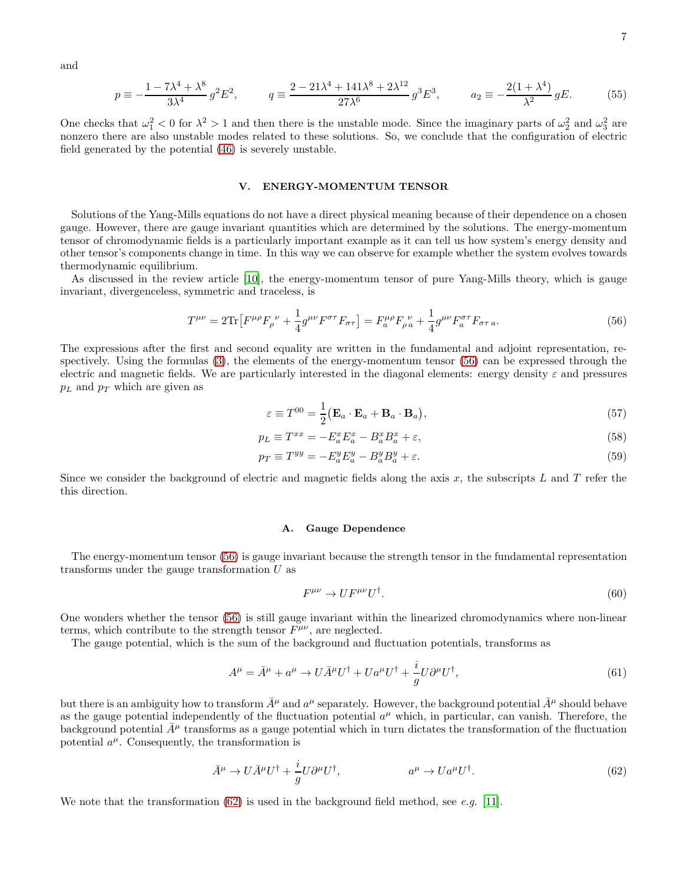and

$$
p \equiv -\frac{1 - 7\lambda^4 + \lambda^8}{3\lambda^4} g^2 E^2, \qquad q \equiv \frac{2 - 21\lambda^4 + 141\lambda^8 + 2\lambda^{12}}{27\lambda^6} g^3 E^3, \qquad a_2 \equiv -\frac{2(1 + \lambda^4)}{\lambda^2} g E. \tag{55}
$$

One checks that  $\omega_1^2 < 0$  for  $\lambda^2 > 1$  and then there is the unstable mode. Since the imaginary parts of  $\omega_2^2$  and  $\omega_3^2$  are nonzero there are also unstable modes related to these solutions. So, we conclude that the configuration of electric field generated by the potential [\(46\)](#page-5-0) is severely unstable.

### <span id="page-6-0"></span>V. ENERGY-MOMENTUM TENSOR

Solutions of the Yang-Mills equations do not have a direct physical meaning because of their dependence on a chosen gauge. However, there are gauge invariant quantities which are determined by the solutions. The energy-momentum tensor of chromodynamic fields is a particularly important example as it can tell us how system's energy density and other tensor's components change in time. In this way we can observe for example whether the system evolves towards thermodynamic equilibrium.

As discussed in the review article [\[10\]](#page-9-10), the energy-momentum tensor of pure Yang-Mills theory, which is gauge invariant, divergenceless, symmetric and traceless, is

<span id="page-6-1"></span>
$$
T^{\mu\nu} = 2\text{Tr}\left[F^{\mu\rho}F_{\rho}{}^{\nu} + \frac{1}{4}g^{\mu\nu}F^{\sigma\tau}F_{\sigma\tau}\right] = F_{a}^{\mu\rho}F_{\rho\,a}{}^{\nu} + \frac{1}{4}g^{\mu\nu}F_{a}^{\sigma\tau}F_{\sigma\tau\,a}.\tag{56}
$$

The expressions after the first and second equality are written in the fundamental and adjoint representation, respectively. Using the formulas [\(3\)](#page-1-4), the elements of the energy-momentum tensor [\(56\)](#page-6-1) can be expressed through the electric and magnetic fields. We are particularly interested in the diagonal elements: energy density  $\varepsilon$  and pressures  $p_L$  and  $p_T$  which are given as

<span id="page-6-4"></span>
$$
\varepsilon \equiv T^{00} = \frac{1}{2} (\mathbf{E}_a \cdot \mathbf{E}_a + \mathbf{B}_a \cdot \mathbf{B}_a), \tag{57}
$$

$$
p_L \equiv T^{xx} = -E_a^x E_a^x - B_a^x B_a^x + \varepsilon,\tag{58}
$$

$$
p_T \equiv T^{yy} = -E^y_a E^y_a - B^y_a B^y_a + \varepsilon. \tag{59}
$$

Since we consider the background of electric and magnetic fields along the axis x, the subscripts  $L$  and  $T$  refer the this direction.

#### A. Gauge Dependence

The energy-momentum tensor [\(56\)](#page-6-1) is gauge invariant because the strength tensor in the fundamental representation transforms under the gauge transformation  $U$  as

<span id="page-6-3"></span>
$$
F^{\mu\nu} \to U F^{\mu\nu} U^{\dagger}.
$$
\n<sup>(60)</sup>

One wonders whether the tensor [\(56\)](#page-6-1) is still gauge invariant within the linearized chromodynamics where non-linear terms, which contribute to the strength tensor  $F^{\mu\nu}$ , are neglected.

The gauge potential, which is the sum of the background and fluctuation potentials, transforms as

$$
A^{\mu} = \bar{A}^{\mu} + a^{\mu} \to U\bar{A}^{\mu}U^{\dagger} + Ua^{\mu}U^{\dagger} + \frac{i}{g}U\partial^{\mu}U^{\dagger},\tag{61}
$$

but there is an ambiguity how to transform  $\bar{A}^{\mu}$  and  $a^{\mu}$  separately. However, the background potential  $\bar{A}^{\mu}$  should behave as the gauge potential independently of the fluctuation potential  $a^{\mu}$  which, in particular, can vanish. Therefore, the background potential  $\bar{A}^{\mu}$  transforms as a gauge potential which in turn dictates the transformation of the fluctuation potential  $a^{\mu}$ . Consequently, the transformation is

<span id="page-6-2"></span>
$$
\bar{A}^{\mu} \to U \bar{A}^{\mu} U^{\dagger} + \frac{i}{g} U \partial^{\mu} U^{\dagger}, \qquad a^{\mu} \to U a^{\mu} U^{\dagger}.
$$
 (62)

We note that the transformation  $(62)$  is used in the background field method, see e.g. [\[11\]](#page-9-11).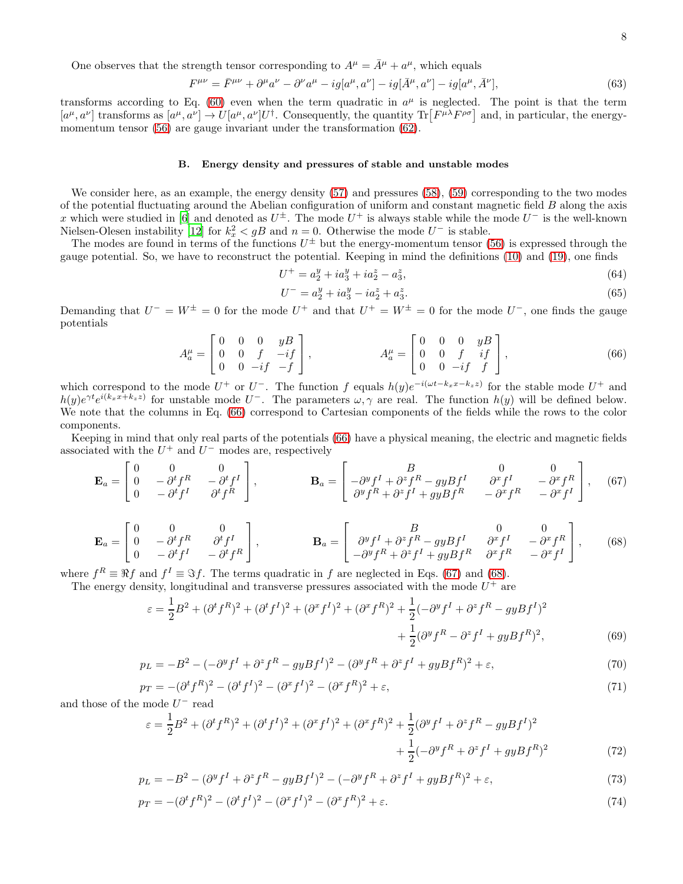One observes that the strength tensor corresponding to  $A^{\mu} = \overline{A}^{\mu} + a^{\mu}$ , which equals

$$
F^{\mu\nu} = \bar{F}^{\mu\nu} + \partial^{\mu}a^{\nu} - \partial^{\nu}a^{\mu} - ig[a^{\mu}, a^{\nu}] - ig[\bar{A}^{\mu}, a^{\nu}] - ig[a^{\mu}, \bar{A}^{\nu}], \tag{63}
$$

transforms according to Eq. [\(60\)](#page-6-3) even when the term quadratic in  $a^{\mu}$  is neglected. The point is that the term  $[a^{\mu}, a^{\nu}]$  transforms as  $[a^{\mu}, a^{\nu}] \rightarrow U[a^{\mu}, a^{\nu}]U^{\dagger}$ . Consequently, the quantity  $\text{Tr}\left[F^{\mu\lambda}F^{\rho\sigma}\right]$  and, in particular, the energy-momentum tensor [\(56\)](#page-6-1) are gauge invariant under the transformation [\(62\)](#page-6-2).

#### B. Energy density and pressures of stable and unstable modes

We consider here, as an example, the energy density  $(57)$  and pressures  $(58)$ ,  $(59)$  corresponding to the two modes of the potential fluctuating around the Abelian configuration of uniform and constant magnetic field B along the axis x which were studied in [\[6\]](#page-9-5) and denoted as  $U^{\pm}$ . The mode  $U^{+}$  is always stable while the mode  $U^{-}$  is the well-known Nielsen-Olesen instability [\[12\]](#page-9-12) for  $k_x^2 < gB$  and  $n = 0$ . Otherwise the mode  $U^-$  is stable.

The modes are found in terms of the functions  $U^{\pm}$  but the energy-momentum tensor [\(56\)](#page-6-1) is expressed through the gauge potential. So, we have to reconstruct the potential. Keeping in mind the definitions [\(10\)](#page-2-3) and [\(19\)](#page-2-4), one finds

$$
U^{+} = a_2^{y} + i a_3^{y} + i a_2^{z} - a_3^{z}, \tag{64}
$$

$$
U^{-} = a_2^y + i a_3^y - i a_2^z + a_3^z.
$$
\n(65)

Demanding that  $U^- = W^{\pm} = 0$  for the mode  $U^+$  and that  $U^+ = W^{\pm} = 0$  for the mode  $U^-$ , one finds the gauge potentials

<span id="page-7-0"></span>
$$
A_a^{\mu} = \begin{bmatrix} 0 & 0 & 0 & yB \\ 0 & 0 & f & -if \\ 0 & 0 & -if & -f \end{bmatrix}, \qquad A_a^{\mu} = \begin{bmatrix} 0 & 0 & 0 & yB \\ 0 & 0 & f & if \\ 0 & 0 & -if & f \end{bmatrix}, \qquad (66)
$$

which correspond to the mode  $U^+$  or  $U^-$ . The function f equals  $h(y)e^{-i(\omega t-k_x x-k_z z)}$  for the stable mode  $U^+$  and  $h(y)e^{\gamma t}e^{i(k_x x+k_z z)}$  for unstable mode  $U^-$ . The parameters  $\omega, \gamma$  are real. The function  $h(y)$  will be defined below. We note that the columns in Eq. [\(66\)](#page-7-0) correspond to Cartesian components of the fields while the rows to the color components.

Keeping in mind that only real parts of the potentials [\(66\)](#page-7-0) have a physical meaning, the electric and magnetic fields associated with the  $U^+$  and  $U^-$  modes are, respectively

<span id="page-7-1"></span>
$$
\mathbf{E}_a = \begin{bmatrix} 0 & 0 & 0 \\ 0 & -\partial^t f^R & -\partial^t f^I \\ 0 & -\partial^t f^I & \partial^t f^R \end{bmatrix}, \qquad \qquad \mathbf{B}_a = \begin{bmatrix} B & 0 & 0 \\ -\partial^y f^I + \partial^z f^R - gyBf^I & \partial^x f^I & -\partial^x f^R \\ \partial^y f^R + \partial^z f^I + gyBf^R & -\partial^x f^R & -\partial^x f^I \end{bmatrix}, \tag{67}
$$

$$
\mathbf{E}_a = \begin{bmatrix} 0 & 0 & 0 \\ 0 & -\partial^t f^R & \partial^t f^I \\ 0 & -\partial^t f^I & -\partial^t f^R \end{bmatrix}, \qquad \qquad \mathbf{B}_a = \begin{bmatrix} B & 0 & 0 \\ \partial^y f^I + \partial^z f^R - gyBf^I & \partial^x f^I & -\partial^x f^R \\ -\partial^y f^R + \partial^z f^I + gyBf^R & \partial^x f^R & -\partial^x f^I \end{bmatrix}, \qquad (68)
$$

where  $f^R \equiv \Re f$  and  $f^I \equiv \Im f$ . The terms quadratic in f are neglected in Eqs. [\(67\)](#page-7-1) and [\(68\)](#page-7-1).

The energy density, longitudinal and transverse pressures associated with the mode  $U^+$  are

$$
\varepsilon = \frac{1}{2}B^2 + (\partial^t f^R)^2 + (\partial^t f^I)^2 + (\partial^x f^I)^2 + (\partial^x f^R)^2 + \frac{1}{2}(-\partial^y f^I + \partial^z f^R - gyBf^I)^2 + \frac{1}{2}(\partial^y f^R - \partial^z f^I + gyBf^R)^2,
$$
\n(69)

$$
p_L = -B^2 - (-\partial^y f^I + \partial^z f^R - gyBf^I)^2 - (\partial^y f^R + \partial^z f^I + gyBf^R)^2 + \varepsilon,
$$
\n<sup>(70)</sup>

$$
p_T = -(\partial^t f^R)^2 - (\partial^t f^I)^2 - (\partial^x f^I)^2 - (\partial^x f^R)^2 + \varepsilon,
$$
\n(71)

and those of the mode  $U^-$  read

$$
\varepsilon = \frac{1}{2}B^2 + (\partial^t f^R)^2 + (\partial^t f^I)^2 + (\partial^x f^I)^2 + (\partial^x f^R)^2 + \frac{1}{2}(\partial^y f^I + \partial^z f^R - gyBf^I)^2 + \frac{1}{2}(-\partial^y f^R + \partial^z f^I + gyBf^R)^2
$$
(72)

$$
p_L = -B^2 - (\partial^y f^I + \partial^z f^R - gyBf^I)^2 - (-\partial^y f^R + \partial^z f^I + gyBf^R)^2 + \varepsilon,
$$
\n(73)

$$
p_T = -(\partial^t f^R)^2 - (\partial^t f^I)^2 - (\partial^x f^I)^2 - (\partial^x f^R)^2 + \varepsilon.
$$
 (74)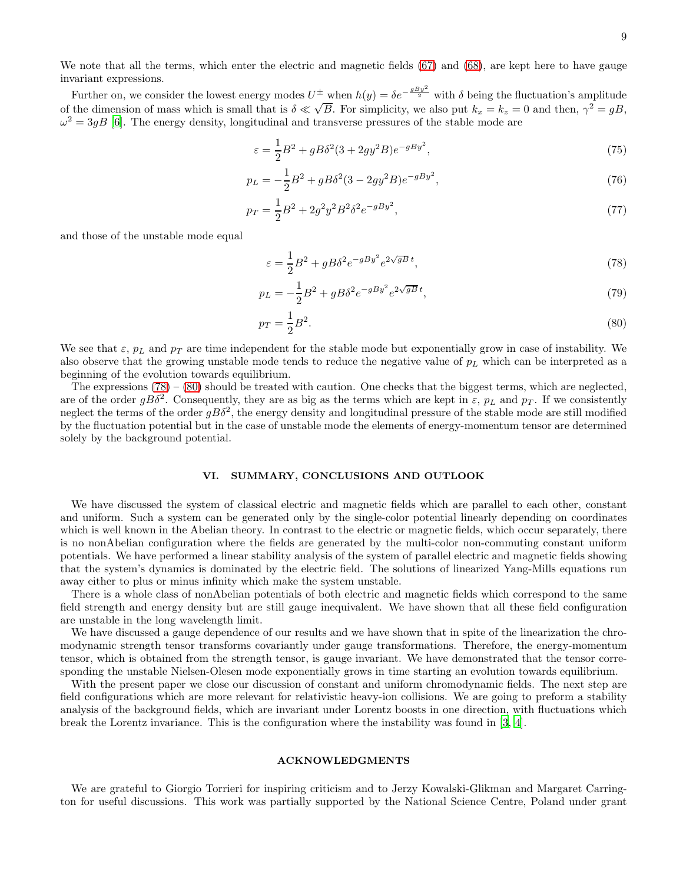We note that all the terms, which enter the electric and magnetic fields [\(67\)](#page-7-1) and [\(68\)](#page-7-1), are kept here to have gauge invariant expressions.

Further on, we consider the lowest energy modes  $U^{\pm}$  when  $h(y) = \delta e^{-\frac{gBy^2}{2}}$  with  $\delta$  being the fluctuation's amplitude of the dimension of mass which is small that is  $\delta \ll \sqrt{B}$ . For simplicity, we also put  $k_x = k_z = 0$  and then,  $\gamma^2 = gB$ ,  $\omega^2 = 3gB$  [\[6\]](#page-9-5). The energy density, longitudinal and transverse pressures of the stable mode are

$$
\varepsilon = \frac{1}{2}B^2 + gB\delta^2(3 + 2gy^2B)e^{-gBy^2},\tag{75}
$$

$$
p_L = -\frac{1}{2}B^2 + gB\delta^2(3 - 2gy^2B)e^{-gBy^2},\tag{76}
$$

$$
p_T = \frac{1}{2}B^2 + 2g^2y^2B^2\delta^2e^{-gBy^2},\tag{77}
$$

and those of the unstable mode equal

<span id="page-8-1"></span>
$$
\varepsilon = \frac{1}{2}B^2 + gB\delta^2 e^{-gBy^2} e^{2\sqrt{gB}t},\tag{78}
$$

$$
p_L = -\frac{1}{2}B^2 + gB\delta^2 e^{-gBy^2} e^{2\sqrt{gB}t},\tag{79}
$$

$$
p_T = \frac{1}{2}B^2.
$$
\n(80)

We see that  $\varepsilon$ ,  $p_L$  and  $p_T$  are time independent for the stable mode but exponentially grow in case of instability. We also observe that the growing unstable mode tends to reduce the negative value of  $p<sub>L</sub>$  which can be interpreted as a beginning of the evolution towards equilibrium.

The expressions  $(78) - (80)$  $(78) - (80)$  should be treated with caution. One checks that the biggest terms, which are neglected, are of the order  $gB\delta^2$ . Consequently, they are as big as the terms which are kept in  $\varepsilon$ ,  $p_L$  and  $p_T$ . If we consistently neglect the terms of the order  $gB\delta^2$ , the energy density and longitudinal pressure of the stable mode are still modified by the fluctuation potential but in the case of unstable mode the elements of energy-momentum tensor are determined solely by the background potential.

### <span id="page-8-0"></span>VI. SUMMARY, CONCLUSIONS AND OUTLOOK

We have discussed the system of classical electric and magnetic fields which are parallel to each other, constant and uniform. Such a system can be generated only by the single-color potential linearly depending on coordinates which is well known in the Abelian theory. In contrast to the electric or magnetic fields, which occur separately, there is no nonAbelian configuration where the fields are generated by the multi-color non-commuting constant uniform potentials. We have performed a linear stability analysis of the system of parallel electric and magnetic fields showing that the system's dynamics is dominated by the electric field. The solutions of linearized Yang-Mills equations run away either to plus or minus infinity which make the system unstable.

There is a whole class of nonAbelian potentials of both electric and magnetic fields which correspond to the same field strength and energy density but are still gauge inequivalent. We have shown that all these field configuration are unstable in the long wavelength limit.

We have discussed a gauge dependence of our results and we have shown that in spite of the linearization the chromodynamic strength tensor transforms covariantly under gauge transformations. Therefore, the energy-momentum tensor, which is obtained from the strength tensor, is gauge invariant. We have demonstrated that the tensor corresponding the unstable Nielsen-Olesen mode exponentially grows in time starting an evolution towards equilibrium.

With the present paper we close our discussion of constant and uniform chromodynamic fields. The next step are field configurations which are more relevant for relativistic heavy-ion collisions. We are going to preform a stability analysis of the background fields, which are invariant under Lorentz boosts in one direction, with fluctuations which break the Lorentz invariance. This is the configuration where the instability was found in [\[3,](#page-9-2) [4\]](#page-9-3).

## ACKNOWLEDGMENTS

We are grateful to Giorgio Torrieri for inspiring criticism and to Jerzy Kowalski-Glikman and Margaret Carrington for useful discussions. This work was partially supported by the National Science Centre, Poland under grant